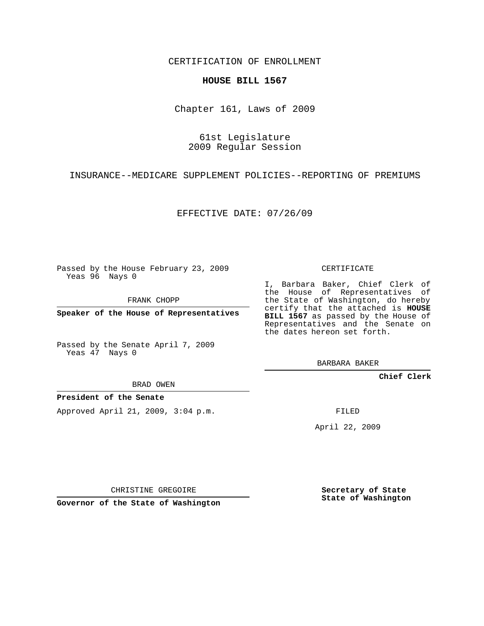CERTIFICATION OF ENROLLMENT

## **HOUSE BILL 1567**

Chapter 161, Laws of 2009

61st Legislature 2009 Regular Session

INSURANCE--MEDICARE SUPPLEMENT POLICIES--REPORTING OF PREMIUMS

EFFECTIVE DATE: 07/26/09

Passed by the House February 23, 2009 Yeas 96 Nays 0

FRANK CHOPP

**Speaker of the House of Representatives**

Passed by the Senate April 7, 2009 Yeas 47 Nays 0

BRAD OWEN

## **President of the Senate**

Approved April 21, 2009, 3:04 p.m.

CERTIFICATE

I, Barbara Baker, Chief Clerk of the House of Representatives of the State of Washington, do hereby certify that the attached is **HOUSE BILL 1567** as passed by the House of Representatives and the Senate on the dates hereon set forth.

BARBARA BAKER

**Chief Clerk**

FILED

April 22, 2009

CHRISTINE GREGOIRE

**Governor of the State of Washington**

**Secretary of State State of Washington**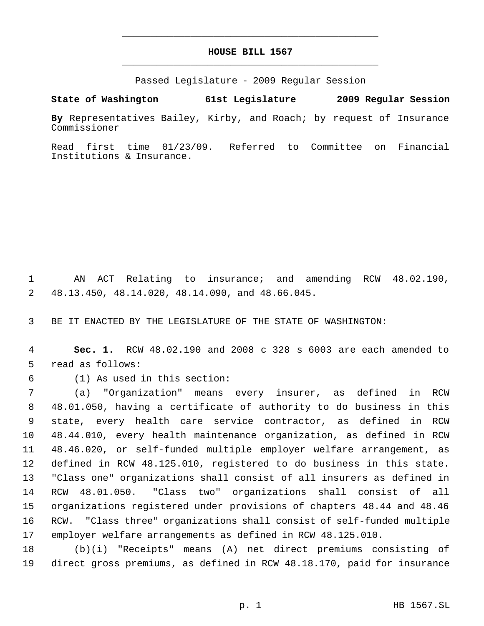## **HOUSE BILL 1567** \_\_\_\_\_\_\_\_\_\_\_\_\_\_\_\_\_\_\_\_\_\_\_\_\_\_\_\_\_\_\_\_\_\_\_\_\_\_\_\_\_\_\_\_\_

\_\_\_\_\_\_\_\_\_\_\_\_\_\_\_\_\_\_\_\_\_\_\_\_\_\_\_\_\_\_\_\_\_\_\_\_\_\_\_\_\_\_\_\_\_

Passed Legislature - 2009 Regular Session

**State of Washington 61st Legislature 2009 Regular Session**

**By** Representatives Bailey, Kirby, and Roach; by request of Insurance Commissioner

Read first time 01/23/09. Referred to Committee on Financial Institutions & Insurance.

 AN ACT Relating to insurance; and amending RCW 48.02.190, 48.13.450, 48.14.020, 48.14.090, and 48.66.045.

BE IT ENACTED BY THE LEGISLATURE OF THE STATE OF WASHINGTON:

 **Sec. 1.** RCW 48.02.190 and 2008 c 328 s 6003 are each amended to read as follows:

(1) As used in this section:

 (a) "Organization" means every insurer, as defined in RCW 48.01.050, having a certificate of authority to do business in this state, every health care service contractor, as defined in RCW 48.44.010, every health maintenance organization, as defined in RCW 48.46.020, or self-funded multiple employer welfare arrangement, as defined in RCW 48.125.010, registered to do business in this state. "Class one" organizations shall consist of all insurers as defined in RCW 48.01.050. "Class two" organizations shall consist of all organizations registered under provisions of chapters 48.44 and 48.46 RCW. "Class three" organizations shall consist of self-funded multiple employer welfare arrangements as defined in RCW 48.125.010.

 (b)(i) "Receipts" means (A) net direct premiums consisting of direct gross premiums, as defined in RCW 48.18.170, paid for insurance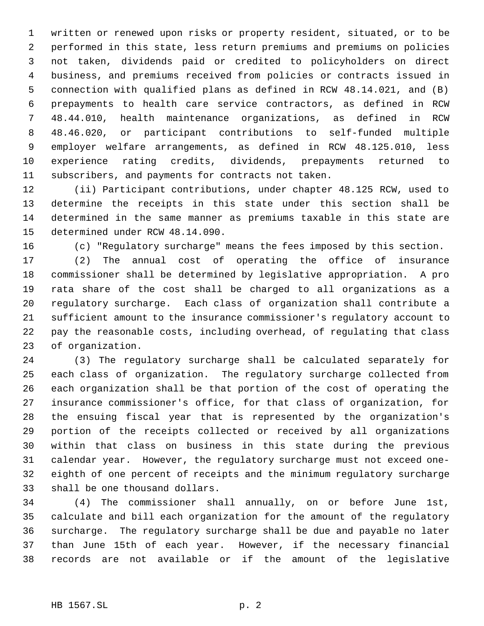written or renewed upon risks or property resident, situated, or to be performed in this state, less return premiums and premiums on policies not taken, dividends paid or credited to policyholders on direct business, and premiums received from policies or contracts issued in connection with qualified plans as defined in RCW 48.14.021, and (B) prepayments to health care service contractors, as defined in RCW 48.44.010, health maintenance organizations, as defined in RCW 48.46.020, or participant contributions to self-funded multiple employer welfare arrangements, as defined in RCW 48.125.010, less experience rating credits, dividends, prepayments returned to subscribers, and payments for contracts not taken.

 (ii) Participant contributions, under chapter 48.125 RCW, used to determine the receipts in this state under this section shall be determined in the same manner as premiums taxable in this state are determined under RCW 48.14.090.

(c) "Regulatory surcharge" means the fees imposed by this section.

 (2) The annual cost of operating the office of insurance commissioner shall be determined by legislative appropriation. A pro rata share of the cost shall be charged to all organizations as a regulatory surcharge. Each class of organization shall contribute a sufficient amount to the insurance commissioner's regulatory account to pay the reasonable costs, including overhead, of regulating that class of organization.

 (3) The regulatory surcharge shall be calculated separately for each class of organization. The regulatory surcharge collected from each organization shall be that portion of the cost of operating the insurance commissioner's office, for that class of organization, for the ensuing fiscal year that is represented by the organization's portion of the receipts collected or received by all organizations within that class on business in this state during the previous calendar year. However, the regulatory surcharge must not exceed one- eighth of one percent of receipts and the minimum regulatory surcharge shall be one thousand dollars.

 (4) The commissioner shall annually, on or before June 1st, calculate and bill each organization for the amount of the regulatory surcharge. The regulatory surcharge shall be due and payable no later than June 15th of each year. However, if the necessary financial records are not available or if the amount of the legislative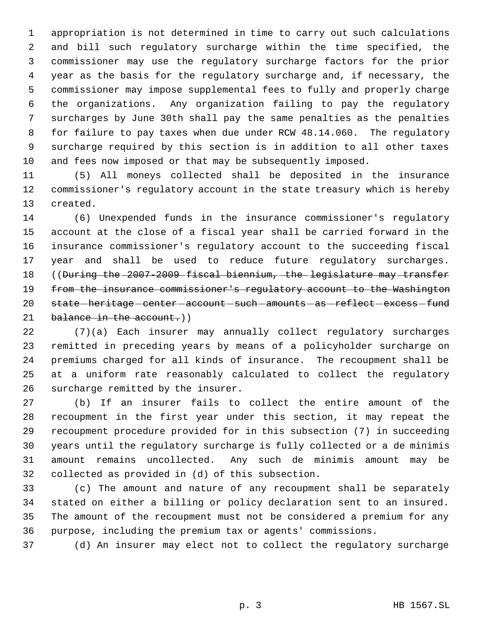appropriation is not determined in time to carry out such calculations and bill such regulatory surcharge within the time specified, the commissioner may use the regulatory surcharge factors for the prior year as the basis for the regulatory surcharge and, if necessary, the commissioner may impose supplemental fees to fully and properly charge the organizations. Any organization failing to pay the regulatory surcharges by June 30th shall pay the same penalties as the penalties for failure to pay taxes when due under RCW 48.14.060. The regulatory surcharge required by this section is in addition to all other taxes and fees now imposed or that may be subsequently imposed.

 (5) All moneys collected shall be deposited in the insurance commissioner's regulatory account in the state treasury which is hereby created.

 (6) Unexpended funds in the insurance commissioner's regulatory account at the close of a fiscal year shall be carried forward in the insurance commissioner's regulatory account to the succeeding fiscal year and shall be used to reduce future regulatory surcharges. ((During the 2007-2009 fiscal biennium, the legislature may transfer 19 from the insurance commissioner's regulatory account to the Washington 20 state-heritage-center-account-such-amounts-as-reflect-excess-fund 21 balance in the account.))

 (7)(a) Each insurer may annually collect regulatory surcharges remitted in preceding years by means of a policyholder surcharge on premiums charged for all kinds of insurance. The recoupment shall be at a uniform rate reasonably calculated to collect the regulatory surcharge remitted by the insurer.

 (b) If an insurer fails to collect the entire amount of the recoupment in the first year under this section, it may repeat the recoupment procedure provided for in this subsection (7) in succeeding years until the regulatory surcharge is fully collected or a de minimis amount remains uncollected. Any such de minimis amount may be collected as provided in (d) of this subsection.

 (c) The amount and nature of any recoupment shall be separately stated on either a billing or policy declaration sent to an insured. The amount of the recoupment must not be considered a premium for any purpose, including the premium tax or agents' commissions.

(d) An insurer may elect not to collect the regulatory surcharge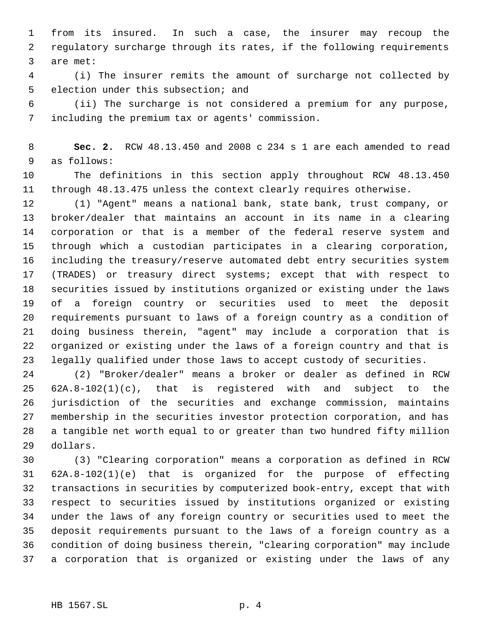from its insured. In such a case, the insurer may recoup the regulatory surcharge through its rates, if the following requirements are met:

 (i) The insurer remits the amount of surcharge not collected by election under this subsection; and

 (ii) The surcharge is not considered a premium for any purpose, including the premium tax or agents' commission.

 **Sec. 2.** RCW 48.13.450 and 2008 c 234 s 1 are each amended to read as follows:

 The definitions in this section apply throughout RCW 48.13.450 through 48.13.475 unless the context clearly requires otherwise.

 (1) "Agent" means a national bank, state bank, trust company, or broker/dealer that maintains an account in its name in a clearing corporation or that is a member of the federal reserve system and through which a custodian participates in a clearing corporation, including the treasury/reserve automated debt entry securities system (TRADES) or treasury direct systems; except that with respect to securities issued by institutions organized or existing under the laws of a foreign country or securities used to meet the deposit requirements pursuant to laws of a foreign country as a condition of doing business therein, "agent" may include a corporation that is organized or existing under the laws of a foreign country and that is legally qualified under those laws to accept custody of securities.

 (2) "Broker/dealer" means a broker or dealer as defined in RCW 62A.8-102(1)(c), that is registered with and subject to the jurisdiction of the securities and exchange commission, maintains membership in the securities investor protection corporation, and has a tangible net worth equal to or greater than two hundred fifty million dollars.

 (3) "Clearing corporation" means a corporation as defined in RCW 62A.8-102(1)(e) that is organized for the purpose of effecting transactions in securities by computerized book-entry, except that with respect to securities issued by institutions organized or existing under the laws of any foreign country or securities used to meet the deposit requirements pursuant to the laws of a foreign country as a condition of doing business therein, "clearing corporation" may include a corporation that is organized or existing under the laws of any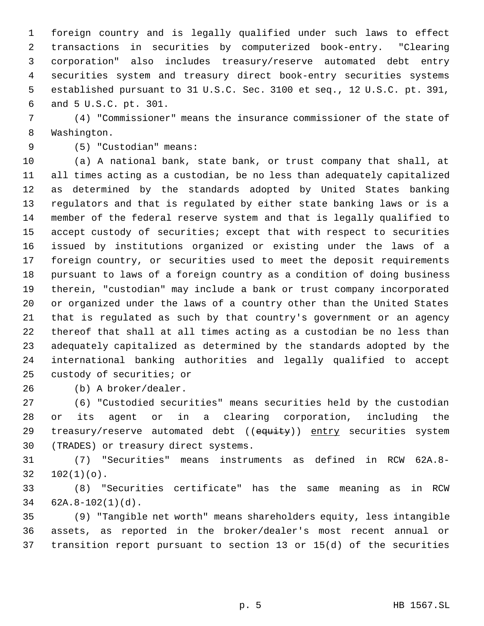foreign country and is legally qualified under such laws to effect transactions in securities by computerized book-entry. "Clearing corporation" also includes treasury/reserve automated debt entry securities system and treasury direct book-entry securities systems established pursuant to 31 U.S.C. Sec. 3100 et seq., 12 U.S.C. pt. 391, and 5 U.S.C. pt. 301.

 (4) "Commissioner" means the insurance commissioner of the state of Washington.

(5) "Custodian" means:

 (a) A national bank, state bank, or trust company that shall, at all times acting as a custodian, be no less than adequately capitalized as determined by the standards adopted by United States banking regulators and that is regulated by either state banking laws or is a member of the federal reserve system and that is legally qualified to accept custody of securities; except that with respect to securities issued by institutions organized or existing under the laws of a foreign country, or securities used to meet the deposit requirements pursuant to laws of a foreign country as a condition of doing business therein, "custodian" may include a bank or trust company incorporated or organized under the laws of a country other than the United States that is regulated as such by that country's government or an agency thereof that shall at all times acting as a custodian be no less than adequately capitalized as determined by the standards adopted by the international banking authorities and legally qualified to accept custody of securities; or

(b) A broker/dealer.

 (6) "Custodied securities" means securities held by the custodian or its agent or in a clearing corporation, including the 29 treasury/reserve automated debt ((equity)) entry securities system (TRADES) or treasury direct systems.

 (7) "Securities" means instruments as defined in RCW 62A.8-  $32 \quad 102(1)(o)$ .

 (8) "Securities certificate" has the same meaning as in RCW 62A.8-102(1)(d).

 (9) "Tangible net worth" means shareholders equity, less intangible assets, as reported in the broker/dealer's most recent annual or transition report pursuant to section 13 or 15(d) of the securities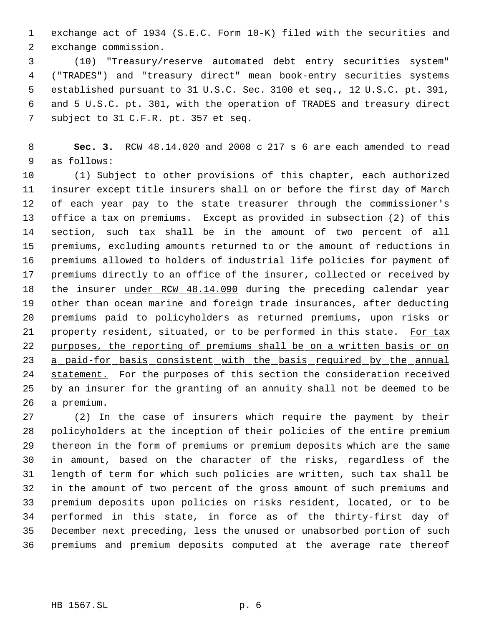exchange act of 1934 (S.E.C. Form 10-K) filed with the securities and exchange commission.

 (10) "Treasury/reserve automated debt entry securities system" ("TRADES") and "treasury direct" mean book-entry securities systems established pursuant to 31 U.S.C. Sec. 3100 et seq., 12 U.S.C. pt. 391, and 5 U.S.C. pt. 301, with the operation of TRADES and treasury direct subject to 31 C.F.R. pt. 357 et seq.

 **Sec. 3.** RCW 48.14.020 and 2008 c 217 s 6 are each amended to read as follows:

 (1) Subject to other provisions of this chapter, each authorized insurer except title insurers shall on or before the first day of March of each year pay to the state treasurer through the commissioner's office a tax on premiums. Except as provided in subsection (2) of this section, such tax shall be in the amount of two percent of all premiums, excluding amounts returned to or the amount of reductions in premiums allowed to holders of industrial life policies for payment of premiums directly to an office of the insurer, collected or received by 18 the insurer under RCW 48.14.090 during the preceding calendar year other than ocean marine and foreign trade insurances, after deducting premiums paid to policyholders as returned premiums, upon risks or 21 property resident, situated, or to be performed in this state. For tax 22 purposes, the reporting of premiums shall be on a written basis or on 23 a paid-for basis consistent with the basis required by the annual statement. For the purposes of this section the consideration received by an insurer for the granting of an annuity shall not be deemed to be a premium.

 (2) In the case of insurers which require the payment by their policyholders at the inception of their policies of the entire premium thereon in the form of premiums or premium deposits which are the same in amount, based on the character of the risks, regardless of the length of term for which such policies are written, such tax shall be in the amount of two percent of the gross amount of such premiums and premium deposits upon policies on risks resident, located, or to be performed in this state, in force as of the thirty-first day of December next preceding, less the unused or unabsorbed portion of such premiums and premium deposits computed at the average rate thereof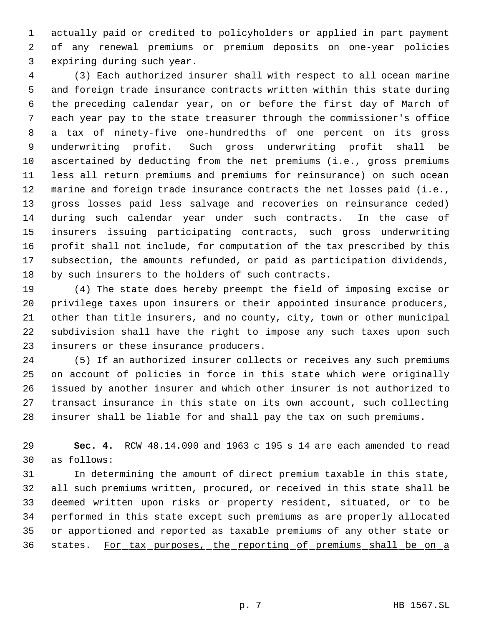actually paid or credited to policyholders or applied in part payment of any renewal premiums or premium deposits on one-year policies expiring during such year.

 (3) Each authorized insurer shall with respect to all ocean marine and foreign trade insurance contracts written within this state during the preceding calendar year, on or before the first day of March of each year pay to the state treasurer through the commissioner's office a tax of ninety-five one-hundredths of one percent on its gross underwriting profit. Such gross underwriting profit shall be ascertained by deducting from the net premiums (i.e., gross premiums less all return premiums and premiums for reinsurance) on such ocean marine and foreign trade insurance contracts the net losses paid (i.e., gross losses paid less salvage and recoveries on reinsurance ceded) during such calendar year under such contracts. In the case of insurers issuing participating contracts, such gross underwriting profit shall not include, for computation of the tax prescribed by this subsection, the amounts refunded, or paid as participation dividends, by such insurers to the holders of such contracts.

 (4) The state does hereby preempt the field of imposing excise or privilege taxes upon insurers or their appointed insurance producers, other than title insurers, and no county, city, town or other municipal subdivision shall have the right to impose any such taxes upon such insurers or these insurance producers.

 (5) If an authorized insurer collects or receives any such premiums on account of policies in force in this state which were originally issued by another insurer and which other insurer is not authorized to transact insurance in this state on its own account, such collecting insurer shall be liable for and shall pay the tax on such premiums.

 **Sec. 4.** RCW 48.14.090 and 1963 c 195 s 14 are each amended to read as follows:

 In determining the amount of direct premium taxable in this state, all such premiums written, procured, or received in this state shall be deemed written upon risks or property resident, situated, or to be performed in this state except such premiums as are properly allocated or apportioned and reported as taxable premiums of any other state or states. For tax purposes, the reporting of premiums shall be on a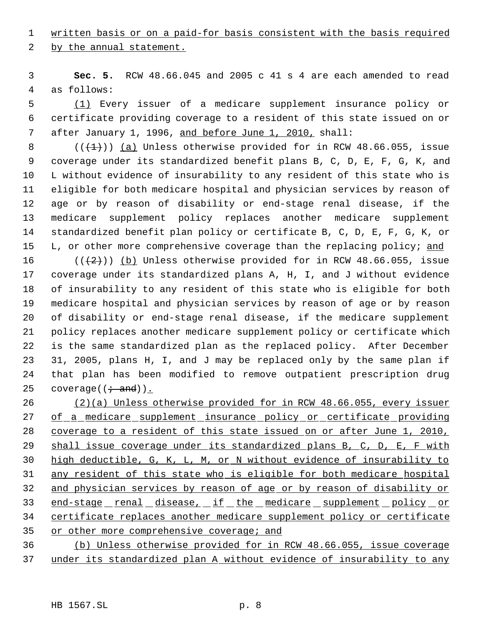written basis or on a paid-for basis consistent with the basis required

by the annual statement.

 **Sec. 5.** RCW 48.66.045 and 2005 c 41 s 4 are each amended to read as follows:

 (1) Every issuer of a medicare supplement insurance policy or certificate providing coverage to a resident of this state issued on or 7 after January 1, 1996, and before June 1, 2010, shall:

 $((+1))$  (a) Unless otherwise provided for in RCW 48.66.055, issue coverage under its standardized benefit plans B, C, D, E, F, G, K, and L without evidence of insurability to any resident of this state who is eligible for both medicare hospital and physician services by reason of age or by reason of disability or end-stage renal disease, if the medicare supplement policy replaces another medicare supplement standardized benefit plan policy or certificate B, C, D, E, F, G, K, or 15 L, or other more comprehensive coverage than the replacing policy; and

 $((+2))$  (b) Unless otherwise provided for in RCW 48.66.055, issue coverage under its standardized plans A, H, I, and J without evidence of insurability to any resident of this state who is eligible for both medicare hospital and physician services by reason of age or by reason of disability or end-stage renal disease, if the medicare supplement policy replaces another medicare supplement policy or certificate which is the same standardized plan as the replaced policy. After December 31, 2005, plans H, I, and J may be replaced only by the same plan if that plan has been modified to remove outpatient prescription drug 25 coverage( $(i \text{ and})$ ).

 (2)(a) Unless otherwise provided for in RCW 48.66.055, every issuer 27 of a medicare supplement insurance policy or certificate providing coverage to a resident of this state issued on or after June 1, 2010, 29 shall issue coverage under its standardized plans B, C, D, E, F with high deductible, G, K, L, M, or N without evidence of insurability to any resident of this state who is eligible for both medicare hospital and physician services by reason of age or by reason of disability or 33 end-stage renal disease, if the medicare supplement policy or certificate replaces another medicare supplement policy or certificate 35 or other more comprehensive coverage; and

 (b) Unless otherwise provided for in RCW 48.66.055, issue coverage under its standardized plan A without evidence of insurability to any